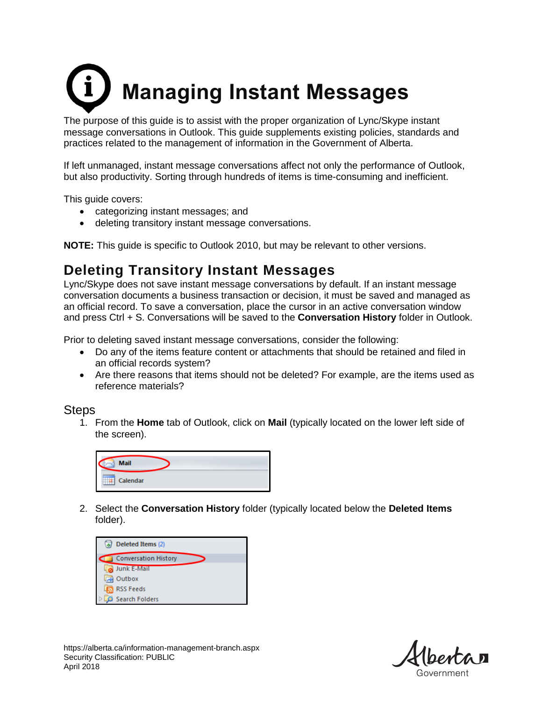## **Managing Instant Messages**

The purpose of this guide is to assist with the proper organization of Lync/Skype instant message conversations in Outlook. This guide supplements existing policies, standards and practices related to the management of information in the Government of Alberta.

If left unmanaged, instant message conversations affect not only the performance of Outlook, but also productivity. Sorting through hundreds of items is time-consuming and inefficient.

This guide covers:

- categorizing instant messages; and
- deleting transitory instant message conversations.

**NOTE:** This guide is specific to Outlook 2010, but may be relevant to other versions.

## **Deleting Transitory Instant Messages**

Lync/Skype does not save instant message conversations by default. If an instant message conversation documents a business transaction or decision, it must be saved and managed as an official record. To save a conversation, place the cursor in an active conversation window and press Ctrl + S. Conversations will be saved to the **Conversation History** folder in Outlook.

Prior to deleting saved instant message conversations, consider the following:

- Do any of the items feature content or attachments that should be retained and filed in an official records system?
- Are there reasons that items should not be deleted? For example, are the items used as reference materials?

## **Steps**

1. From the **Home** tab of Outlook, click on **Mail** (typically located on the lower left side of the screen).



2. Select the **Conversation History** folder (typically located below the **Deleted Items** folder).

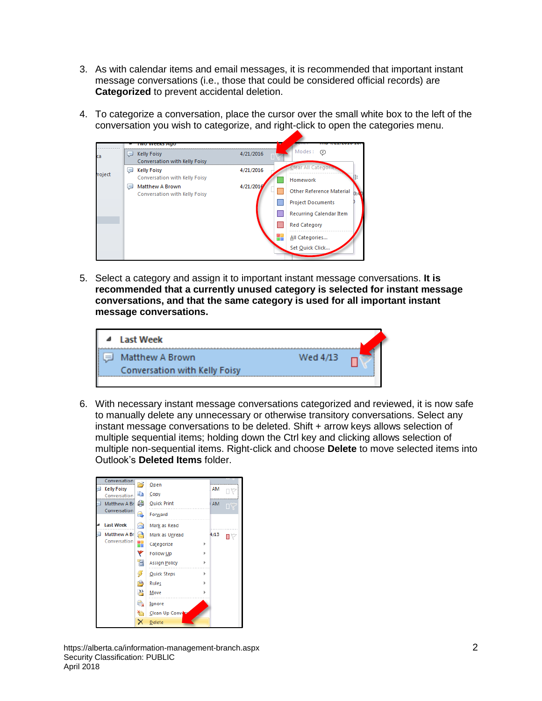- 3. As with calendar items and email messages, it is recommended that important instant message conversations (i.e., those that could be considered official records) are **Categorized** to prevent accidental deletion.
- 4. To categorize a conversation, place the cursor over the small white box to the left of the conversation you wish to categorize, and right-click to open the categories menu.



5. Select a category and assign it to important instant message conversations. **It is recommended that a currently unused category is selected for instant message conversations, and that the same category is used for all important instant message conversations.**



6. With necessary instant message conversations categorized and reviewed, it is now safe to manually delete any unnecessary or otherwise transitory conversations. Select any instant message conversations to be deleted. Shift + arrow keys allows selection of multiple sequential items; holding down the Ctrl key and clicking allows selection of multiple non-sequential items. Right-click and choose **Delete** to move selected items into Outlook's **Deleted Items** folder.